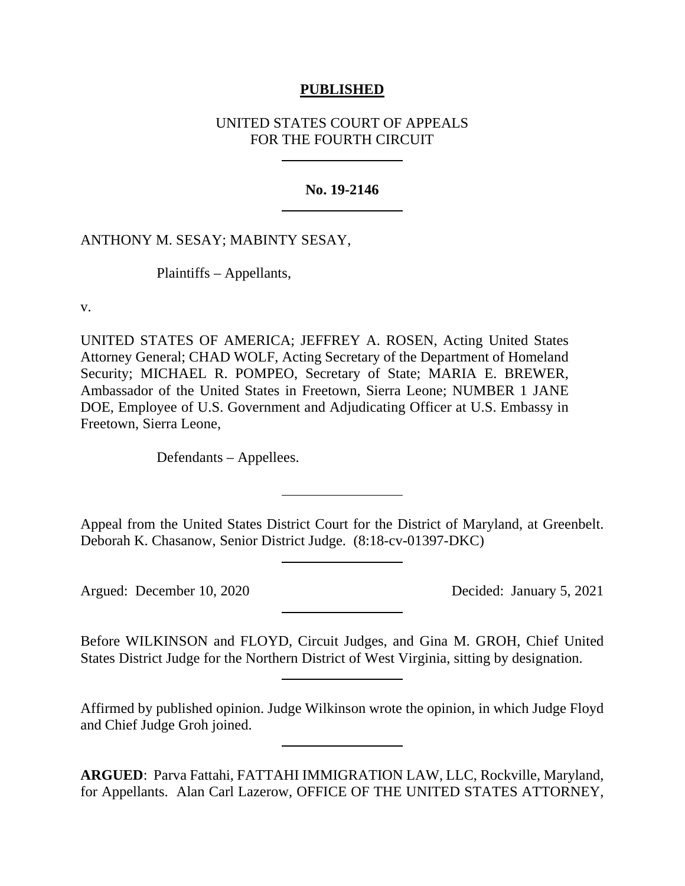### **PUBLISHED**

## UNITED STATES COURT OF APPEALS FOR THE FOURTH CIRCUIT

#### **No. 19-2146**

### ANTHONY M. SESAY; MABINTY SESAY,

Plaintiffs – Appellants,

v.

UNITED STATES OF AMERICA; JEFFREY A. ROSEN, Acting United States Attorney General; CHAD WOLF, Acting Secretary of the Department of Homeland Security; MICHAEL R. POMPEO, Secretary of State; MARIA E. BREWER, Ambassador of the United States in Freetown, Sierra Leone; NUMBER 1 JANE DOE, Employee of U.S. Government and Adjudicating Officer at U.S. Embassy in Freetown, Sierra Leone,

Defendants – Appellees.

Appeal from the United States District Court for the District of Maryland, at Greenbelt. Deborah K. Chasanow, Senior District Judge. (8:18-cv-01397-DKC)

Argued: December 10, 2020 Decided: January 5, 2021

Before WILKINSON and FLOYD, Circuit Judges, and Gina M. GROH, Chief United States District Judge for the Northern District of West Virginia, sitting by designation.

Affirmed by published opinion. Judge Wilkinson wrote the opinion, in which Judge Floyd and Chief Judge Groh joined.

**ARGUED**: Parva Fattahi, FATTAHI IMMIGRATION LAW, LLC, Rockville, Maryland, for Appellants. Alan Carl Lazerow, OFFICE OF THE UNITED STATES ATTORNEY,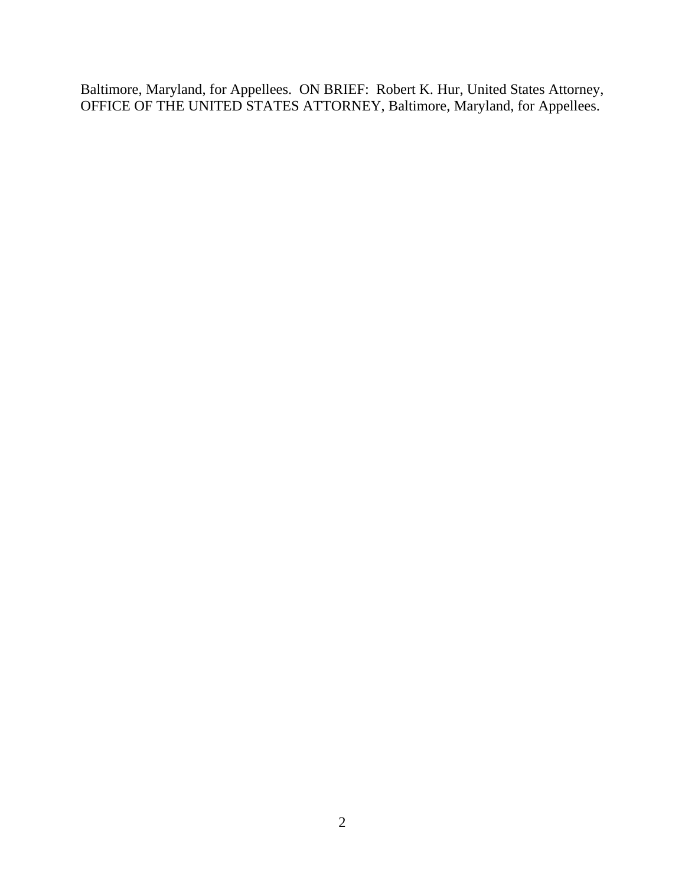Baltimore, Maryland, for Appellees. ON BRIEF: Robert K. Hur, United States Attorney, OFFICE OF THE UNITED STATES ATTORNEY, Baltimore, Maryland, for Appellees.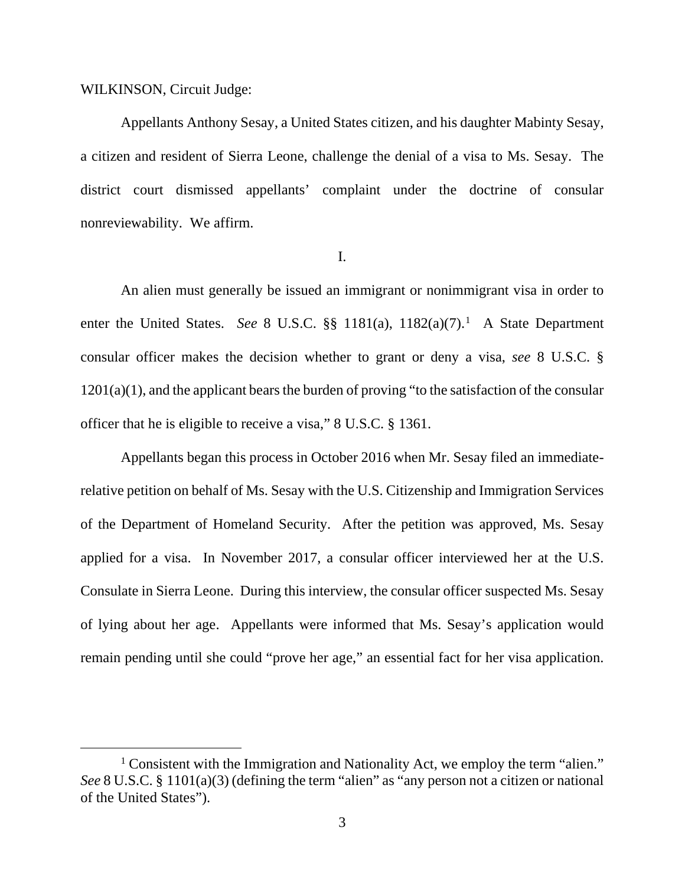### WILKINSON, Circuit Judge:

Appellants Anthony Sesay, a United States citizen, and his daughter Mabinty Sesay, a citizen and resident of Sierra Leone, challenge the denial of a visa to Ms. Sesay. The district court dismissed appellants' complaint under the doctrine of consular nonreviewability. We affirm.

#### I.

An alien must generally be issued an immigrant or nonimmigrant visa in order to enter the United States. *See* 8 U.S.C.  $\S\S$  [1](#page-2-0)181(a), 1182(a)(7).<sup>1</sup> A State Department consular officer makes the decision whether to grant or deny a visa, *see* 8 U.S.C. §  $1201(a)(1)$ , and the applicant bears the burden of proving "to the satisfaction of the consular officer that he is eligible to receive a visa," 8 U.S.C. § 1361.

Appellants began this process in October 2016 when Mr. Sesay filed an immediaterelative petition on behalf of Ms. Sesay with the U.S. Citizenship and Immigration Services of the Department of Homeland Security. After the petition was approved, Ms. Sesay applied for a visa. In November 2017, a consular officer interviewed her at the U.S. Consulate in Sierra Leone. During this interview, the consular officer suspected Ms. Sesay of lying about her age. Appellants were informed that Ms. Sesay's application would remain pending until she could "prove her age," an essential fact for her visa application.

<span id="page-2-0"></span><sup>&</sup>lt;sup>1</sup> Consistent with the Immigration and Nationality Act, we employ the term "alien." *See* 8 U.S.C. § 1101(a)(3) (defining the term "alien" as "any person not a citizen or national of the United States").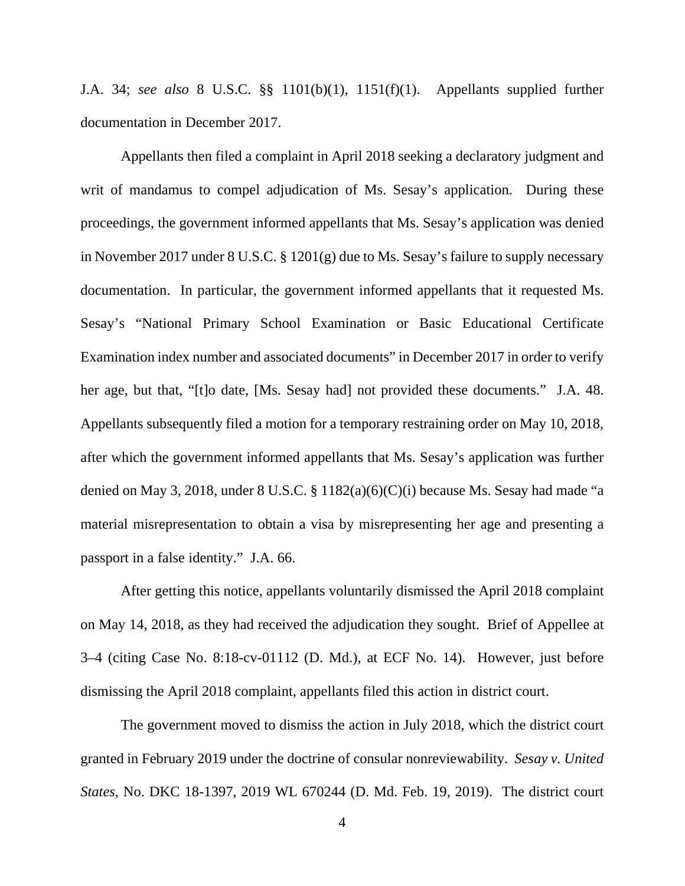J.A. 34; *see also* 8 U.S.C. §§ 1101(b)(1), 1151(f)(1). Appellants supplied further documentation in December 2017.

Appellants then filed a complaint in April 2018 seeking a declaratory judgment and writ of mandamus to compel adjudication of Ms. Sesay's application. During these proceedings, the government informed appellants that Ms. Sesay's application was denied in November 2017 under 8 U.S.C. § 1201(g) due to Ms. Sesay's failure to supply necessary documentation. In particular, the government informed appellants that it requested Ms. Sesay's "National Primary School Examination or Basic Educational Certificate Examination index number and associated documents" in December 2017 in order to verify her age, but that, "[t]o date, [Ms. Sesay had] not provided these documents." J.A. 48. Appellants subsequently filed a motion for a temporary restraining order on May 10, 2018, after which the government informed appellants that Ms. Sesay's application was further denied on May 3, 2018, under 8 U.S.C. § 1182(a)(6)(C)(i) because Ms. Sesay had made "a material misrepresentation to obtain a visa by misrepresenting her age and presenting a passport in a false identity." J.A. 66.

After getting this notice, appellants voluntarily dismissed the April 2018 complaint on May 14, 2018, as they had received the adjudication they sought. Brief of Appellee at 3–4 (citing Case No. 8:18-cv-01112 (D. Md.), at ECF No. 14). However, just before dismissing the April 2018 complaint, appellants filed this action in district court.

The government moved to dismiss the action in July 2018, which the district court granted in February 2019 under the doctrine of consular nonreviewability. *Sesay v. United States*, No. DKC 18-1397, 2019 WL 670244 (D. Md. Feb. 19, 2019). The district court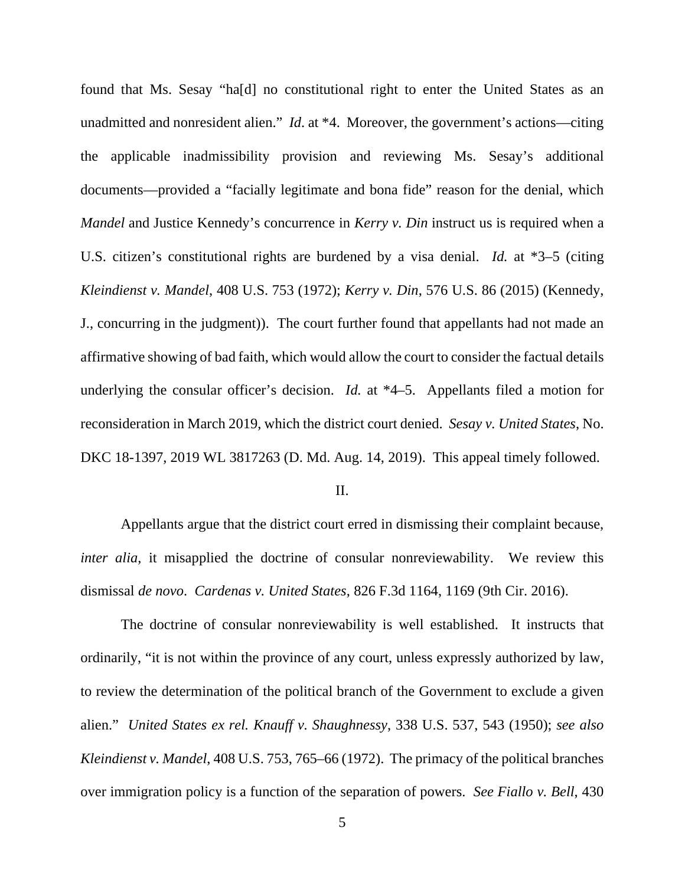found that Ms. Sesay "ha[d] no constitutional right to enter the United States as an unadmitted and nonresident alien." *Id*. at \*4. Moreover, the government's actions—citing the applicable inadmissibility provision and reviewing Ms. Sesay's additional documents—provided a "facially legitimate and bona fide" reason for the denial, which *Mandel* and Justice Kennedy's concurrence in *Kerry v. Din* instruct us is required when a U.S. citizen's constitutional rights are burdened by a visa denial. *Id.* at \*3–5 (citing *Kleindienst v. Mandel*, 408 U.S. 753 (1972); *Kerry v. Din*, 576 U.S. 86 (2015) (Kennedy, J., concurring in the judgment)). The court further found that appellants had not made an affirmative showing of bad faith, which would allow the court to consider the factual details underlying the consular officer's decision. *Id.* at \*4–5. Appellants filed a motion for reconsideration in March 2019, which the district court denied. *Sesay v. United States*, No. DKC 18-1397, 2019 WL 3817263 (D. Md. Aug. 14, 2019). This appeal timely followed.

II.

Appellants argue that the district court erred in dismissing their complaint because, *inter alia*, it misapplied the doctrine of consular nonreviewability. We review this dismissal *de novo*. *Cardenas v. United States*, 826 F.3d 1164, 1169 (9th Cir. 2016).

The doctrine of consular nonreviewability is well established. It instructs that ordinarily, "it is not within the province of any court, unless expressly authorized by law, to review the determination of the political branch of the Government to exclude a given alien." *United States ex rel. Knauff v. Shaughnessy*, 338 U.S. 537, 543 (1950); *see also Kleindienst v. Mandel*, 408 U.S. 753, 765–66 (1972). The primacy of the political branches over immigration policy is a function of the separation of powers. *See Fiallo v. Bell*, 430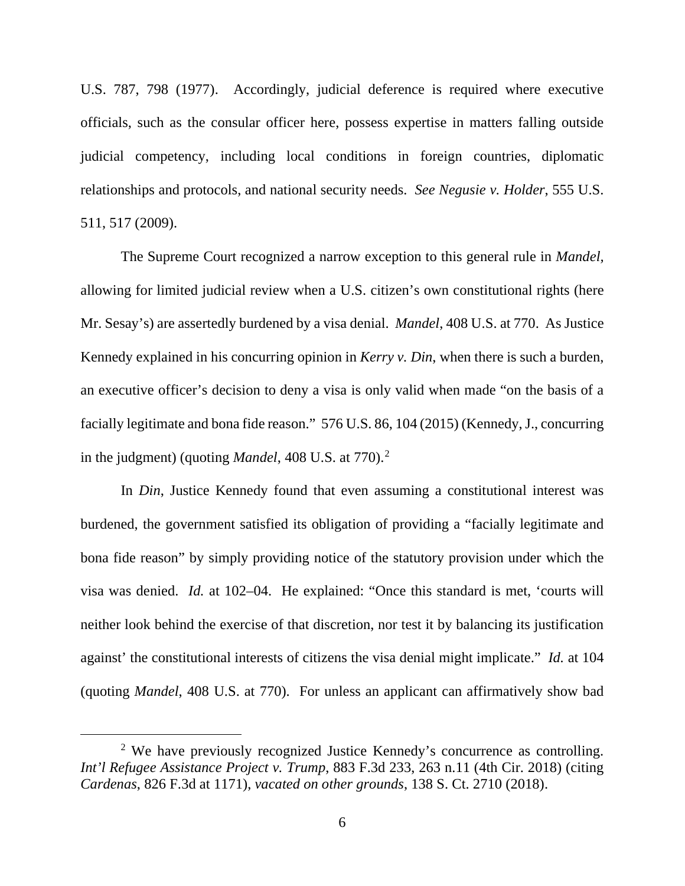U.S. 787, 798 (1977). Accordingly, judicial deference is required where executive officials, such as the consular officer here, possess expertise in matters falling outside judicial competency, including local conditions in foreign countries, diplomatic relationships and protocols, and national security needs. *See Negusie v. Holder*, 555 U.S. 511, 517 (2009).

The Supreme Court recognized a narrow exception to this general rule in *Mandel,*  allowing for limited judicial review when a U.S. citizen's own constitutional rights (here Mr. Sesay's) are assertedly burdened by a visa denial. *Mandel*, 408 U.S. at 770. As Justice Kennedy explained in his concurring opinion in *Kerry v. Din*, when there is such a burden, an executive officer's decision to deny a visa is only valid when made "on the basis of a facially legitimate and bona fide reason." 576 U.S. 86, 104 (2015) (Kennedy, J., concurring in the judgment) (quoting *Mandel*, 408 U.S. at 770).<sup>[2](#page-5-0)</sup>

In *Din*, Justice Kennedy found that even assuming a constitutional interest was burdened, the government satisfied its obligation of providing a "facially legitimate and bona fide reason" by simply providing notice of the statutory provision under which the visa was denied. *Id.* at 102–04. He explained: "Once this standard is met, 'courts will neither look behind the exercise of that discretion, nor test it by balancing its justification against' the constitutional interests of citizens the visa denial might implicate." *Id.* at 104 (quoting *Mandel*, 408 U.S. at 770). For unless an applicant can affirmatively show bad

<span id="page-5-0"></span><sup>2</sup> We have previously recognized Justice Kennedy's concurrence as controlling. *Int'l Refugee Assistance Project v. Trump*, 883 F.3d 233, 263 n.11 (4th Cir. 2018) (citing *Cardenas*, 826 F.3d at 1171), *vacated on other grounds*, 138 S. Ct. 2710 (2018).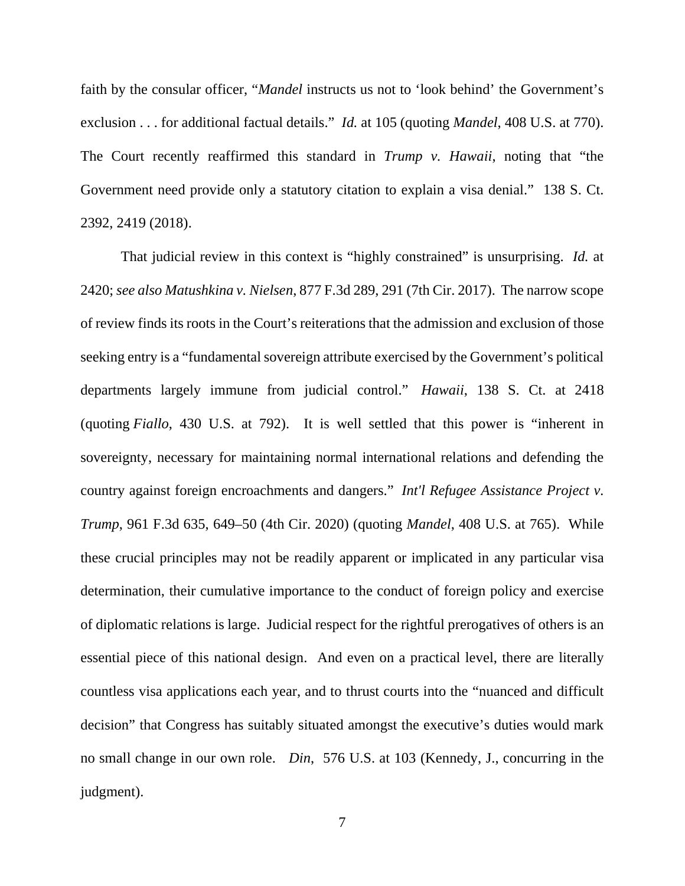faith by the consular officer, "*Mandel* instructs us not to 'look behind' the Government's exclusion . . . for additional factual details." *Id.* at 105 (quoting *Mandel*, 408 U.S. at 770). The Court recently reaffirmed this standard in *Trump v. Hawaii*, noting that "the Government need provide only a statutory citation to explain a visa denial." 138 S. Ct. 2392, 2419 (2018).

That judicial review in this context is "highly constrained" is unsurprising. *Id.* at 2420; *see also Matushkina v. Nielsen*, 877 F.3d 289, 291 (7th Cir. 2017). The narrow scope of review finds its roots in the Court's reiterations that the admission and exclusion of those seeking entry is a "fundamental sovereign attribute exercised by the Government's political departments largely immune from judicial control." *Hawaii*, 138 S. Ct. at 2418 (quoting *Fiallo*, 430 U.S. at 792). It is well settled that this power is "inherent in sovereignty, necessary for maintaining normal international relations and defending the country against foreign encroachments and dangers." *Int'l Refugee Assistance Project v. Trump*, 961 F.3d 635, 649–50 (4th Cir. 2020) (quoting *Mandel*, 408 U.S. at 765). While these crucial principles may not be readily apparent or implicated in any particular visa determination, their cumulative importance to the conduct of foreign policy and exercise of diplomatic relations is large. Judicial respect for the rightful prerogatives of others is an essential piece of this national design. And even on a practical level, there are literally countless visa applications each year, and to thrust courts into the "nuanced and difficult decision" that Congress has suitably situated amongst the executive's duties would mark no small change in our own role. *Din*, 576 U.S. at 103 (Kennedy, J., concurring in the judgment).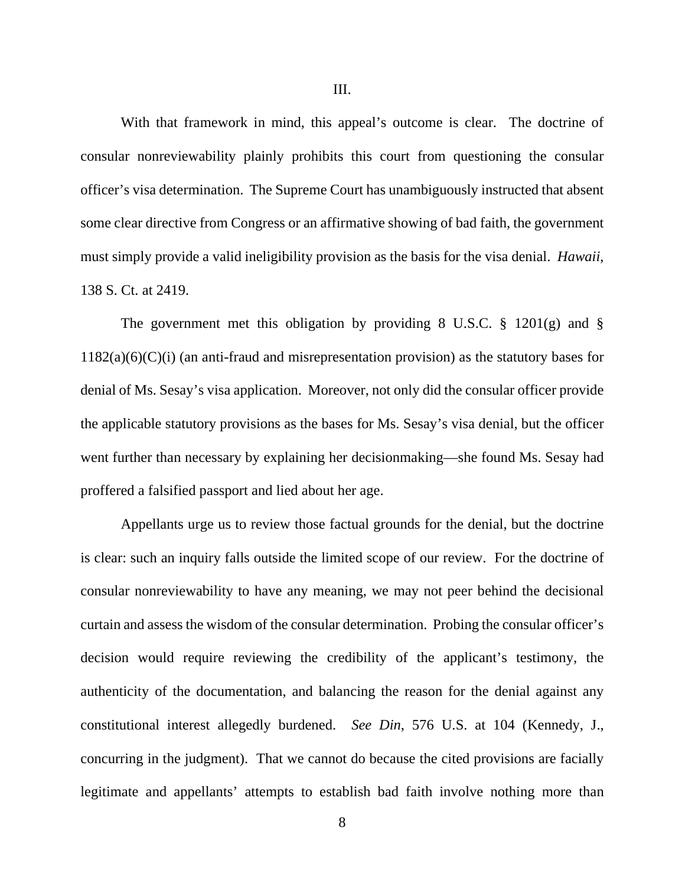With that framework in mind, this appeal's outcome is clear. The doctrine of consular nonreviewability plainly prohibits this court from questioning the consular officer's visa determination. The Supreme Court has unambiguously instructed that absent some clear directive from Congress or an affirmative showing of bad faith, the government must simply provide a valid ineligibility provision as the basis for the visa denial. *Hawaii*, 138 S. Ct. at 2419.

The government met this obligation by providing 8 U.S.C.  $\S$  1201(g) and  $\S$  $1182(a)(6)(C)(i)$  (an anti-fraud and misrepresentation provision) as the statutory bases for denial of Ms. Sesay's visa application. Moreover, not only did the consular officer provide the applicable statutory provisions as the bases for Ms. Sesay's visa denial, but the officer went further than necessary by explaining her decisionmaking—she found Ms. Sesay had proffered a falsified passport and lied about her age.

Appellants urge us to review those factual grounds for the denial, but the doctrine is clear: such an inquiry falls outside the limited scope of our review. For the doctrine of consular nonreviewability to have any meaning, we may not peer behind the decisional curtain and assess the wisdom of the consular determination. Probing the consular officer's decision would require reviewing the credibility of the applicant's testimony, the authenticity of the documentation, and balancing the reason for the denial against any constitutional interest allegedly burdened. *See Din*, 576 U.S. at 104 (Kennedy, J., concurring in the judgment). That we cannot do because the cited provisions are facially legitimate and appellants' attempts to establish bad faith involve nothing more than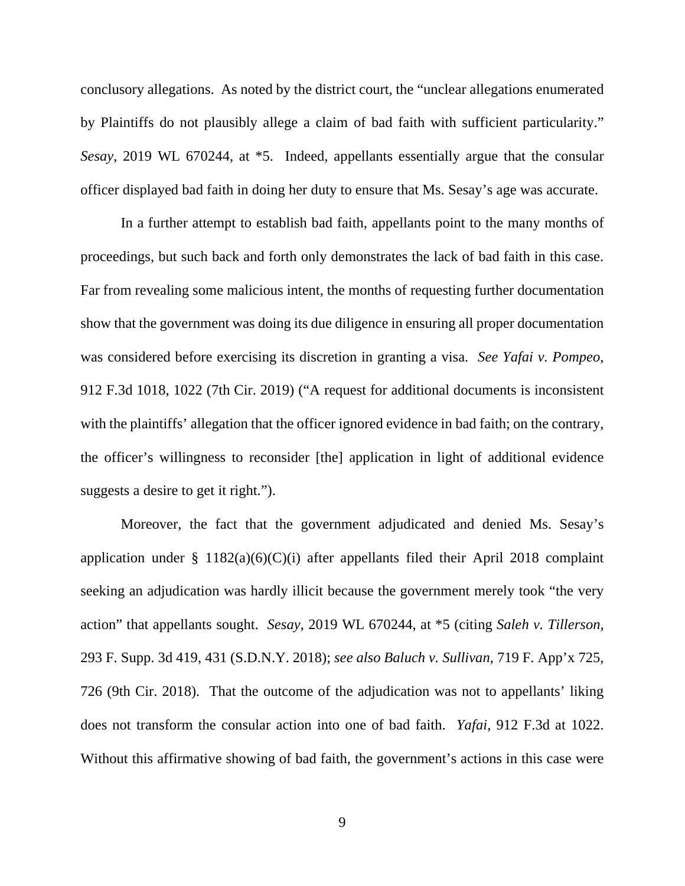conclusory allegations. As noted by the district court, the "unclear allegations enumerated by Plaintiffs do not plausibly allege a claim of bad faith with sufficient particularity." *Sesay*, 2019 WL 670244, at \*5. Indeed, appellants essentially argue that the consular officer displayed bad faith in doing her duty to ensure that Ms. Sesay's age was accurate.

In a further attempt to establish bad faith, appellants point to the many months of proceedings, but such back and forth only demonstrates the lack of bad faith in this case. Far from revealing some malicious intent, the months of requesting further documentation show that the government was doing its due diligence in ensuring all proper documentation was considered before exercising its discretion in granting a visa. *See Yafai v. Pompeo*, 912 F.3d 1018, 1022 (7th Cir. 2019) ("A request for additional documents is inconsistent with the plaintiffs' allegation that the officer ignored evidence in bad faith; on the contrary, the officer's willingness to reconsider [the] application in light of additional evidence suggests a desire to get it right.").

Moreover, the fact that the government adjudicated and denied Ms. Sesay's application under § 1182(a)(6)(C)(i) after appellants filed their April 2018 complaint seeking an adjudication was hardly illicit because the government merely took "the very action" that appellants sought. *Sesay*, 2019 WL 670244, at \*5 (citing *Saleh v. Tillerson,*  293 F. Supp. 3d 419, 431 (S.D.N.Y. 2018); *see also Baluch v. Sullivan*, 719 F. App'x 725, 726 (9th Cir. 2018). That the outcome of the adjudication was not to appellants' liking does not transform the consular action into one of bad faith. *Yafai*, 912 F.3d at 1022. Without this affirmative showing of bad faith, the government's actions in this case were